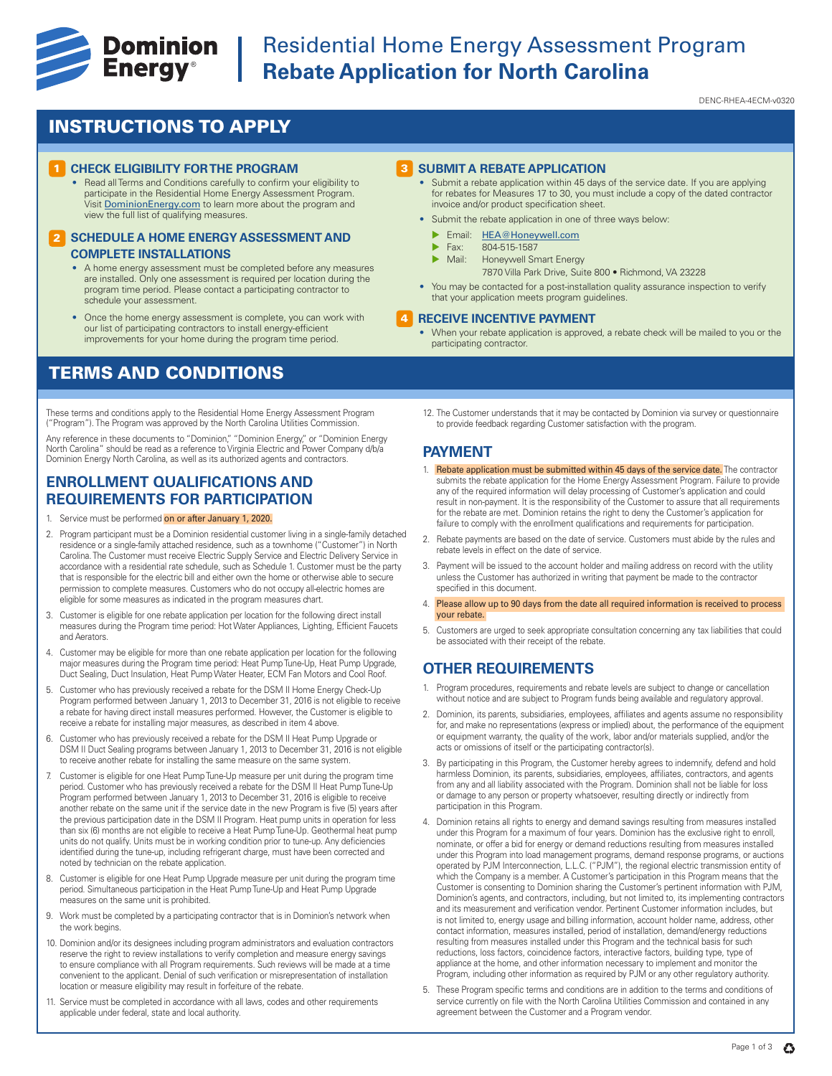

## **Example 19 Dominion** Residential Home Energy Assessment Program<br> **Energy**® Rebate Application for North Carolina **Rebate Application for North Carolina**

DENC-RHEA-4ECM-v0320

## INSTRUCTIONS TO APPLY

#### **CHECK ELIGIBILITY FOR THE PROGRAM**

• Read all Terms and Conditions carefully to confirm your eligibility to participate in the Residential Home Energy Assessment Program. Visit DominionEnergy.com to learn more about the program and view the full list of qualifying measures.

#### **2 SCHEDULE A HOME ENERGY ASSESSMENT AND COMPLETE INSTALLATIONS**

- A home energy assessment must be completed before any measures are installed. Only one assessment is required per location during the program time period. Please contact a participating contractor to schedule your assessment.
- Once the home energy assessment is complete, you can work with our list of participating contractors to install energy-efficient improvements for your home during the program time period.

## TERMS AND CONDITIONS

These terms and conditions apply to the Residential Home Energy Assessment Program ("Program"). The Program was approved by the North Carolina Utilities Commission.

Any reference in these documents to "Dominion," "Dominion Energy," or "Dominion Energy<br>North Carolina" should be read as a reference to Virginia Electric and Power Company d/b/a Dominion Energy North Carolina, as well as its authorized agents and contractors.

### **ENROLLMENT QUALIFICATIONS AND REQUIREMENTS FOR PARTICIPATION**

- 1. Service must be performed on or after January 1, 2020.
- 2. Program participant must be a Dominion residential customer living in a single-family detached residence or a single-family attached residence, such as a townhome ("Customer") in North Carolina. The Customer must receive Electric Supply Service and Electric Delivery Service in accordance with a residential rate schedule, such as Schedule 1. Customer must be the party that is responsible for the electric bill and either own the home or otherwise able to secure permission to complete measures. Customers who do not occupy all-electric homes are eligible for some measures as indicated in the program measures chart.
- 3. Customer is eligible for one rebate application per location for the following direct install measures during the Program time period: Hot Water Appliances, Lighting, Efficient Faucets and Aerators.
- 4. Customer may be eligible for more than one rebate application per location for the following major measures during the Program time period: Heat Pump Tune-Up, Heat Pump Upgrade, Duct Sealing, Duct Insulation, Heat Pump Water Heater, ECM Fan Motors and Cool Roof.
- 5. Customer who has previously received a rebate for the DSM II Home Energy Check-Up Program performed between January 1, 2013 to December 31, 2016 is not eligible to receive a rebate for having direct install measures performed. However, the Customer is eligible to receive a rebate for installing major measures, as described in item 4 above.
- 6. Customer who has previously received a rebate for the DSM II Heat Pump Upgrade or DSM II Duct Sealing programs between January 1, 2013 to December 31, 2016 is not eligible to receive another rebate for installing the same measure on the same system.
- 7. Customer is eligible for one Heat Pump Tune-Up measure per unit during the program time period. Customer who has previously received a rebate for the DSM II Heat Pump Tune-Up Program performed between January 1, 2013 to December 31, 2016 is eligible to receive another rebate on the same unit if the service date in the new Program is five (5) years after the previous participation date in the DSM II Program. Heat pump units in operation for less than six (6) months are not eligible to receive a Heat Pump Tune-Up. Geothermal heat pump units do not qualify. Units must be in working condition prior to tune-up. Any deficiencies identified during the tune-up, including refrigerant charge, must have been corrected and noted by technician on the rebate application.
- 8. Customer is eligible for one Heat Pump Upgrade measure per unit during the program time period. Simultaneous participation in the Heat Pump Tune-Up and Heat Pump Upgrade measures on the same unit is prohibited.
- 9. Work must be completed by a participating contractor that is in Dominion's network when the work begins.
- 10. Dominion and/or its designees including program administrators and evaluation contractors reserve the right to review installations to verify completion and measure energy savings to ensure compliance with all Program requirements. Such reviews will be made at a time convenient to the applicant. Denial of such verification or misrepresentation of installation location or measure eligibility may result in forfeiture of the rebate.
- 11. Service must be completed in accordance with all laws, codes and other requirements applicable under federal, state and local authority.

#### **3** SUBMIT A REBATE APPLICATION

- Submit a rebate application within 45 days of the service date. If you are applying for rebates for Measures 17 to 30, you must include a copy of the dated contractor invoice and/or product specification sheet.
- Submit the rebate application in one of three ways below:
	- Email: HEA@Honeywell.com
	- $\triangleright$  Fax: 804-515-1587
	- Honeywell Smart Energy
		- 7870 Villa Park Drive, Suite 800 Richmond, VA 23228
- You may be contacted for a post-installation quality assurance inspection to verify that your application meets program guidelines.

#### **RECEIVE INCENTIVE PAYMENT** 4

- When your rebate application is approved, a rebate check will be mailed to you or the participating contractor.
- 12. The Customer understands that it may be contacted by Dominion via survey or questionnaire to provide feedback regarding Customer satisfaction with the program.

#### **PAYMENT**

- 1. Rebate application must be submitted within 45 days of the service date. The contractor submits the rebate application for the Home Energy Assessment Program. Failure to provide any of the required information will delay processing of Customer's application and could result in non-payment. It is the responsibility of the Customer to assure that all requirements for the rebate are met. Dominion retains the right to deny the Customer's application for failure to comply with the enrollment qualifications and requirements for participation.
- 2. Rebate payments are based on the date of service. Customers must abide by the rules and rebate levels in effect on the date of service.
- 3. Payment will be issued to the account holder and mailing address on record with the utility unless the Customer has authorized in writing that payment be made to the contractor specified in this document.
- 4. Please allow up to 90 days from the date all required information is received to process your rebate.
- 5. Customers are urged to seek appropriate consultation concerning any tax liabilities that could be associated with their receipt of the rebate.

### **OTHER REQUIREMENTS**

- 1. Program procedures, requirements and rebate levels are subject to change or cancellation without notice and are subject to Program funds being available and regulatory approval.
- 2. Dominion, its parents, subsidiaries, employees, affiliates and agents assume no responsibility for, and make no representations (express or implied) about, the performance of the equipment or equipment warranty, the quality of the work, labor and/or materials supplied, and/or the acts or omissions of itself or the participating contractor(s).
- 3. By participating in this Program, the Customer hereby agrees to indemnify, defend and hold harmless Dominion, its parents, subsidiaries, employees, affiliates, contractors, and agents from any and all liability associated with the Program. Dominion shall not be liable for loss or damage to any person or property whatsoever, resulting directly or indirectly from participation in this Program.
- 4. Dominion retains all rights to energy and demand savings resulting from measures installed under this Program for a maximum of four years. Dominion has the exclusive right to enroll, nominate, or offer a bid for energy or demand reductions resulting from measures installed under this Program into load management programs, demand response programs, or auctions operated by PJM Interconnection, L.L.C. ("PJM"), the regional electric transmission entity of which the Company is a member. A Customer's participation in this Program means that the Customer is consenting to Dominion sharing the Customer's pertinent information with PJM, Dominion's agents, and contractors, including, but not limited to, its implementing contractors and its measurement and verification vendor. Pertinent Customer information includes, but is not limited to, energy usage and billing information, account holder name, address, other contact information, measures installed, period of installation, demand/energy reductions resulting from measures installed under this Program and the technical basis for such reductions, loss factors, coincidence factors, interactive factors, building type, type of appliance at the home, and other information necessary to implement and monitor the Program, including other information as required by PJM or any other regulatory authority.
- 5. These Program specific terms and conditions are in addition to the terms and conditions of service currently on file with the North Carolina Utilities Commission and contained in any agreement between the Customer and a Program vendor.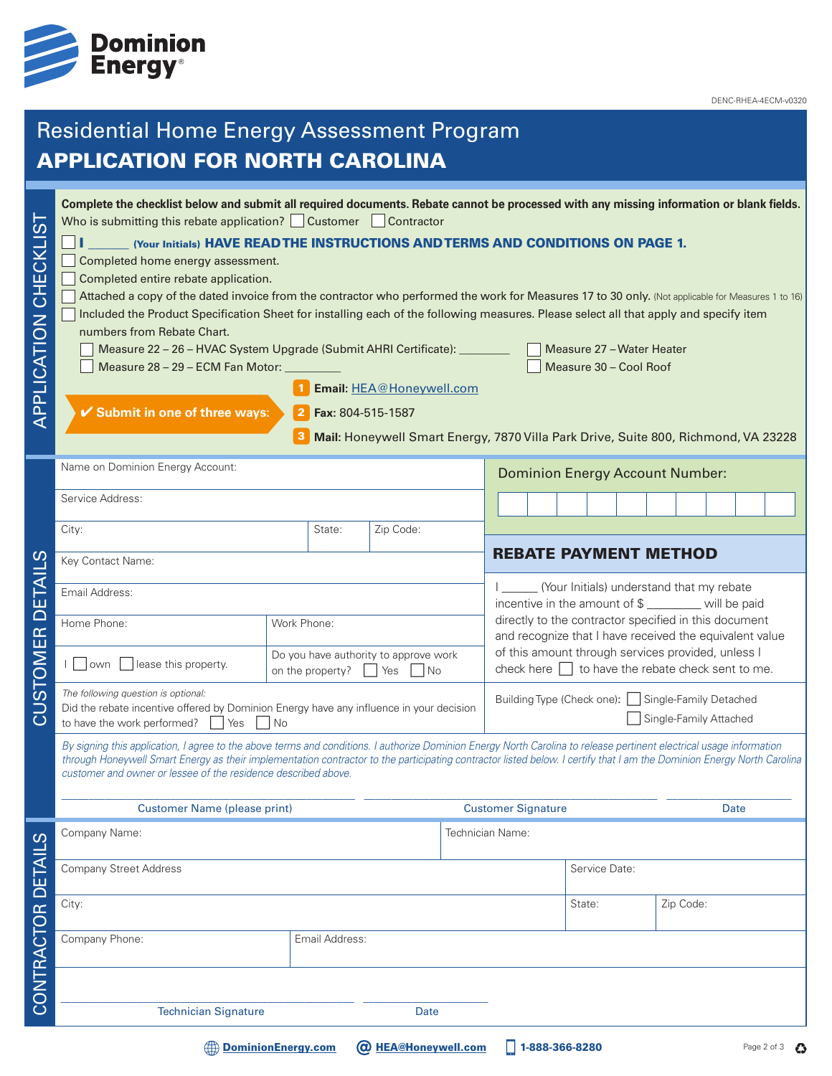

DENC-RHEA-4ECM-v0320

# Residential Home Energy Assessment Program APPLICATION FOR NORTH CAROLINA **Complete the checklist below and submit all required documents. Rebate cannot be processed with any missing information or blank fields. APPLICATION CHECKLIST** APPLICATION CHECKLIST Who is submitting this rebate application?  $\Box$  Customer  $\Box$  Contractor **I** We Alternal Mann Wave READ THE INSTRUCTIONS AND TERMS AND CONDITIONS ON PAGE 1. Completed home energy assessment. Completed entire rebate application.

| $\Box$                                                                                                                                            |                                                                                                                                                                                                                                                                                                       |
|---------------------------------------------------------------------------------------------------------------------------------------------------|-------------------------------------------------------------------------------------------------------------------------------------------------------------------------------------------------------------------------------------------------------------------------------------------------------|
| Attached a copy of the dated invoice from the contractor who performed the work for Measures 17 to 30 only. (Not applicable for Measures 1 to 16) |                                                                                                                                                                                                                                                                                                       |
| Included the Product Specification Sheet for installing each of the following measures. Please select all that apply and specify item             |                                                                                                                                                                                                                                                                                                       |
| numbers from Rebate Chart.                                                                                                                        |                                                                                                                                                                                                                                                                                                       |
| Measure 22 – 26 – HVAC System Upgrade (Submit AHRI Certificate):                                                                                  | Measure 27 - Water Heater                                                                                                                                                                                                                                                                             |
| $\begin{array}{ccc} \n\bullet & \bullet & \bullet & \bullet & \bullet & \bullet \end{array}$                                                      | $\begin{array}{ccc} \n\begin{array}{ccc} \n\end{array} & \n\begin{array}{ccc} \n\end{array} & \n\begin{array}{ccc} \n\end{array} & \n\begin{array}{ccc} \n\end{array} & \n\begin{array}{ccc} \n\end{array} & \n\begin{array}{ccc} \n\end{array} & \n\begin{array}{ccc} \n\end{array} & \n\end{array}$ |

Measure 28 – 29 – ECM Fan Motor: \_\_\_\_\_\_\_\_\_\_ Measure 30 – Cool Roof

1 Email: HEA@Honeywell.com

4 **Submit in one of three ways:**

**Fax:** 804-515-1587 2

**Mail:** Honeywell Smart Energy, 7870 Villa Park Drive, Suite 800, Richmond, VA 23228 3

|                         | Name on Dominion Energy Account:                                                                                                                                                                                                                                                                                                                                                                                 |                                                                                      |                            |  | <b>Dominion Energy Account Number:</b> |                                                                                                                  |        |  |  |  |           |  |  |             |
|-------------------------|------------------------------------------------------------------------------------------------------------------------------------------------------------------------------------------------------------------------------------------------------------------------------------------------------------------------------------------------------------------------------------------------------------------|--------------------------------------------------------------------------------------|----------------------------|--|----------------------------------------|------------------------------------------------------------------------------------------------------------------|--------|--|--|--|-----------|--|--|-------------|
|                         | Service Address:                                                                                                                                                                                                                                                                                                                                                                                                 |                                                                                      |                            |  |                                        |                                                                                                                  |        |  |  |  |           |  |  |             |
|                         | City:                                                                                                                                                                                                                                                                                                                                                                                                            | State:                                                                               | Zip Code:                  |  |                                        |                                                                                                                  |        |  |  |  |           |  |  |             |
|                         | Key Contact Name:                                                                                                                                                                                                                                                                                                                                                                                                |                                                                                      |                            |  |                                        | <b>REBATE PAYMENT METHOD</b>                                                                                     |        |  |  |  |           |  |  |             |
| <b>CUSTOMER DETAILS</b> | Email Address:                                                                                                                                                                                                                                                                                                                                                                                                   |                                                                                      |                            |  |                                        | I _______ (Your Initials) understand that my rebate<br>incentive in the amount of \$ ________ will be paid       |        |  |  |  |           |  |  |             |
|                         | Home Phone:                                                                                                                                                                                                                                                                                                                                                                                                      | Work Phone:                                                                          |                            |  |                                        | directly to the contractor specified in this document<br>and recognize that I have received the equivalent value |        |  |  |  |           |  |  |             |
|                         | lease this property.<br>own                                                                                                                                                                                                                                                                                                                                                                                      | Do you have authority to approve work<br>on the property?<br>$\Box$ Yes<br><b>No</b> |                            |  |                                        | of this amount through services provided, unless I<br>check here $\Box$ to have the rebate check sent to me.     |        |  |  |  |           |  |  |             |
|                         | The following question is optional:<br>Did the rebate incentive offered by Dominion Energy have any influence in your decision<br>$\Box$ Yes<br>to have the work performed?<br>$\vert$ $\vert$ No                                                                                                                                                                                                                |                                                                                      |                            |  |                                        | Building Type (Check one): Single-Family Detached<br>Single-Family Attached                                      |        |  |  |  |           |  |  |             |
|                         | By signing this application, I agree to the above terms and conditions. I authorize Dominion Energy North Carolina to release pertinent electrical usage information<br>through Honeywell Smart Energy as their implementation contractor to the participating contractor listed below. I certify that I am the Dominion Energy North Carolina<br>customer and owner or lessee of the residence described above. |                                                                                      |                            |  |                                        |                                                                                                                  |        |  |  |  |           |  |  |             |
|                         | <b>Customer Name (please print)</b>                                                                                                                                                                                                                                                                                                                                                                              |                                                                                      |                            |  |                                        | <b>Customer Signature</b><br>Date                                                                                |        |  |  |  |           |  |  |             |
|                         | Company Name:<br>Technician Name:<br><b>Company Street Address</b>                                                                                                                                                                                                                                                                                                                                               |                                                                                      |                            |  |                                        |                                                                                                                  |        |  |  |  |           |  |  |             |
|                         |                                                                                                                                                                                                                                                                                                                                                                                                                  |                                                                                      |                            |  |                                        | Service Date:                                                                                                    |        |  |  |  |           |  |  |             |
|                         | City:                                                                                                                                                                                                                                                                                                                                                                                                            |                                                                                      |                            |  |                                        |                                                                                                                  | State: |  |  |  | Zip Code: |  |  |             |
| CONTRACTOR DETAILS      | Company Phone:<br>Email Address:                                                                                                                                                                                                                                                                                                                                                                                 |                                                                                      |                            |  |                                        |                                                                                                                  |        |  |  |  |           |  |  |             |
|                         | <b>Technician Signature</b>                                                                                                                                                                                                                                                                                                                                                                                      |                                                                                      | <b>Date</b>                |  |                                        |                                                                                                                  |        |  |  |  |           |  |  |             |
|                         |                                                                                                                                                                                                                                                                                                                                                                                                                  | <b>DominionEnergy.com</b>                                                            | <b>@ HEA@Honeywell.com</b> |  |                                        | 1-888-366-8280                                                                                                   |        |  |  |  |           |  |  | Page 2 of 3 |